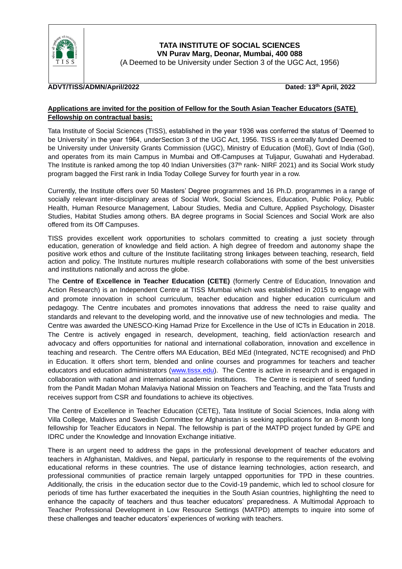

## **ADVT/TISS/ADMN/April/2022 Dated: 13th April, 2022**

#### **Applications are invited for the position of Fellow for the South Asian Teacher Educators (SATE) Fellowship on contractual basis:**

Tata Institute of Social Sciences (TISS), established in the year 1936 was conferred the status of 'Deemed to be University' in the year 1964, underSection 3 of the UGC Act, 1956. TISS is a centrally funded Deemed to be University under University Grants Commission (UGC), Ministry of Education (MoE), Govt of India (GoI), and operates from its main Campus in Mumbai and Off-Campuses at Tuljapur, Guwahati and Hyderabad. The Institute is ranked among the top 40 Indian Universities (37<sup>th</sup> rank- NIRF 2021) and its Social Work study program bagged the First rank in India Today College Survey for fourth year in a row.

Currently, the Institute offers over 50 Masters' Degree programmes and 16 Ph.D. programmes in a range of socially relevant inter-disciplinary areas of Social Work, Social Sciences, Education, Public Policy, Public Health, Human Resource Management, Labour Studies, Media and Culture, Applied Psychology, Disaster Studies, Habitat Studies among others. BA degree programs in Social Sciences and Social Work are also offered from its Off Campuses.

TISS provides excellent work opportunities to scholars committed to creating a just society through education, generation of knowledge and field action. A high degree of freedom and autonomy shape the positive work ethos and culture of the Institute facilitating strong linkages between teaching, research, field action and policy. The Institute nurtures multiple research collaborations with some of the best universities and institutions nationally and across the globe.

The **Centre of Excellence in Teacher Education (CETE)** (formerly Centre of Education, Innovation and Action Research) is an Independent Centre at TISS Mumbai which was established in 2015 to engage with and promote innovation in school curriculum, teacher education and higher education curriculum and pedagogy. The Centre incubates and promotes innovations that address the need to raise quality and standards and relevant to the developing world, and the innovative use of new technologies and media. The Centre was awarded the UNESCO-King Hamad Prize for Excellence in the Use of ICTs in Education in 2018. The Centre is actively engaged in research, development, teaching, field action/action research and advocacy and offers opportunities for national and international collaboration, innovation and excellence in teaching and research. The Centre offers MA Education, BEd MEd (Integrated, NCTE recognised) and PhD in Education. It offers short term, blended and online courses and programmes for teachers and teacher educators and education administrators [\(www.tissx.edu\)](http://www.tissx.edu/). The Centre is active in research and is engaged in collaboration with national and international academic institutions. The Centre is recipient of seed funding from the Pandit Madan Mohan Malaviya National Mission on Teachers and Teaching, and the Tata Trusts and receives support from CSR and foundations to achieve its objectives.

The Centre of Excellence in Teacher Education (CETE), Tata Institute of Social Sciences, India along with Villa College, Maldives and Swedish Committee for Afghanistan is seeking applications for an 8-month long fellowship for Teacher Educators in Nepal. The fellowship is part of the MATPD project funded by GPE and IDRC under the Knowledge and Innovation Exchange initiative.

There is an urgent need to address the gaps in the professional development of teacher educators and teachers in Afghanistan, Maldives, and Nepal, particularly in response to the requirements of the evolving educational reforms in these countries. The use of distance learning technologies, action research, and professional communities of practice remain largely untapped opportunities for TPD in these countries. Additionally, the crisis in the education sector due to the Covid-19 pandemic, which led to school closure for periods of time has further exacerbated the inequities in the South Asian countries, highlighting the need to enhance the capacity of teachers and thus teacher educators' preparedness. A Multimodal Approach to Teacher Professional Development in Low Resource Settings (MATPD) attempts to inquire into some of these challenges and teacher educators' experiences of working with teachers.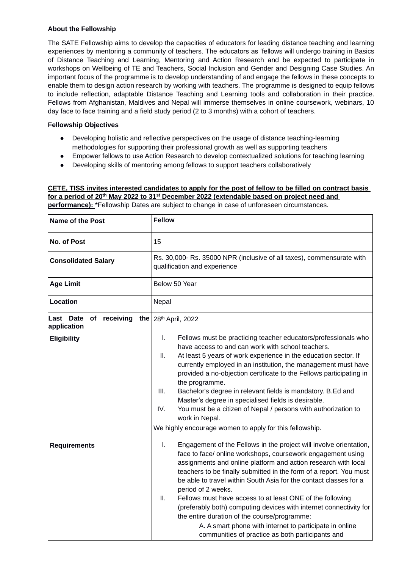### **About the Fellowship**

The SATE Fellowship aims to develop the capacities of educators for leading distance teaching and learning experiences by mentoring a community of teachers. The educators as 'fellows will undergo training in Basics of Distance Teaching and Learning, Mentoring and Action Research and be expected to participate in workshops on Wellbeing of TE and Teachers, Social Inclusion and Gender and Designing Case Studies. An important focus of the programme is to develop understanding of and engage the fellows in these concepts to enable them to design action research by working with teachers. The programme is designed to equip fellows to include reflection, adaptable Distance Teaching and Learning tools and collaboration in their practice. Fellows from Afghanistan, Maldives and Nepal will immerse themselves in online coursework, webinars, 10 day face to face training and a field study period (2 to 3 months) with a cohort of teachers.

### **Fellowship Objectives**

- Developing holistic and reflective perspectives on the usage of distance teaching-learning methodologies for supporting their professional growth as well as supporting teachers
- Empower fellows to use Action Research to develop contextualized solutions for teaching learning
- Developing skills of mentoring among fellows to support teachers collaboratively

## **CETE, TISS invites interested candidates to apply for the post of fellow to be filled on contract basis for a period of 20th May 2022 to 31st December 2022 (extendable based on project need and**

**performance):** \*Fellowship Dates are subject to change in case of unforeseen circumstances.

| <b>Name of the Post</b>               | <b>Fellow</b>                                                                                                                                                                                                                                                                                                                                                                                                                                                                                                                                                                                                                                                                      |  |  |
|---------------------------------------|------------------------------------------------------------------------------------------------------------------------------------------------------------------------------------------------------------------------------------------------------------------------------------------------------------------------------------------------------------------------------------------------------------------------------------------------------------------------------------------------------------------------------------------------------------------------------------------------------------------------------------------------------------------------------------|--|--|
| No. of Post                           | 15                                                                                                                                                                                                                                                                                                                                                                                                                                                                                                                                                                                                                                                                                 |  |  |
| <b>Consolidated Salary</b>            | Rs. 30,000- Rs. 35000 NPR (inclusive of all taxes), commensurate with<br>qualification and experience                                                                                                                                                                                                                                                                                                                                                                                                                                                                                                                                                                              |  |  |
| <b>Age Limit</b>                      | Below 50 Year                                                                                                                                                                                                                                                                                                                                                                                                                                                                                                                                                                                                                                                                      |  |  |
| Location                              | Nepal                                                                                                                                                                                                                                                                                                                                                                                                                                                                                                                                                                                                                                                                              |  |  |
| Last Date of receiving<br>application | the $28th$ April, 2022                                                                                                                                                                                                                                                                                                                                                                                                                                                                                                                                                                                                                                                             |  |  |
| <b>Eligibility</b>                    | I.<br>Fellows must be practicing teacher educators/professionals who<br>have access to and can work with school teachers.<br>At least 5 years of work experience in the education sector. If<br>ΙΙ.<br>currently employed in an institution, the management must have<br>provided a no-objection certificate to the Fellows participating in<br>the programme.<br>III.<br>Bachelor's degree in relevant fields is mandatory. B.Ed and<br>Master's degree in specialised fields is desirable.<br>IV.<br>You must be a citizen of Nepal / persons with authorization to<br>work in Nepal.<br>We highly encourage women to apply for this fellowship.                                 |  |  |
| <b>Requirements</b>                   | I.<br>Engagement of the Fellows in the project will involve orientation,<br>face to face/ online workshops, coursework engagement using<br>assignments and online platform and action research with local<br>teachers to be finally submitted in the form of a report. You must<br>be able to travel within South Asia for the contact classes for a<br>period of 2 weeks.<br>Ш.<br>Fellows must have access to at least ONE of the following<br>(preferably both) computing devices with internet connectivity for<br>the entire duration of the course/programme:<br>A. A smart phone with internet to participate in online<br>communities of practice as both participants and |  |  |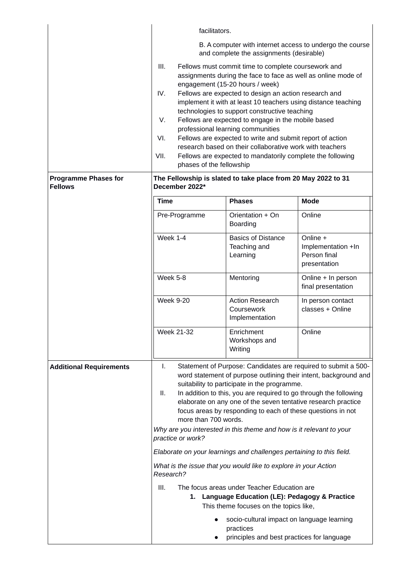|                                               | facilitators.                                                                                                                                                                                                                                                                                                                                                                                                                                                                                                                                                                                                                                                                                                                                                                                                                                                                                                                                |                                                                                                                                                                                                                                                                                                                                                                                                                                                                                                                                                                                                                       |                                                                |  |
|-----------------------------------------------|----------------------------------------------------------------------------------------------------------------------------------------------------------------------------------------------------------------------------------------------------------------------------------------------------------------------------------------------------------------------------------------------------------------------------------------------------------------------------------------------------------------------------------------------------------------------------------------------------------------------------------------------------------------------------------------------------------------------------------------------------------------------------------------------------------------------------------------------------------------------------------------------------------------------------------------------|-----------------------------------------------------------------------------------------------------------------------------------------------------------------------------------------------------------------------------------------------------------------------------------------------------------------------------------------------------------------------------------------------------------------------------------------------------------------------------------------------------------------------------------------------------------------------------------------------------------------------|----------------------------------------------------------------|--|
|                                               | B. A computer with internet access to undergo the course<br>and complete the assignments (desirable)                                                                                                                                                                                                                                                                                                                                                                                                                                                                                                                                                                                                                                                                                                                                                                                                                                         |                                                                                                                                                                                                                                                                                                                                                                                                                                                                                                                                                                                                                       |                                                                |  |
|                                               | III.<br>IV.<br>V.<br>VI.<br>VII.<br>phases of the fellowship                                                                                                                                                                                                                                                                                                                                                                                                                                                                                                                                                                                                                                                                                                                                                                                                                                                                                 | Fellows must commit time to complete coursework and<br>assignments during the face to face as well as online mode of<br>engagement (15-20 hours / week)<br>Fellows are expected to design an action research and<br>implement it with at least 10 teachers using distance teaching<br>technologies to support constructive teaching<br>Fellows are expected to engage in the mobile based<br>professional learning communities<br>Fellows are expected to write and submit report of action<br>research based on their collaborative work with teachers<br>Fellows are expected to mandatorily complete the following |                                                                |  |
| <b>Programme Phases for</b><br><b>Fellows</b> | The Fellowship is slated to take place from 20 May 2022 to 31<br>December 2022*                                                                                                                                                                                                                                                                                                                                                                                                                                                                                                                                                                                                                                                                                                                                                                                                                                                              |                                                                                                                                                                                                                                                                                                                                                                                                                                                                                                                                                                                                                       |                                                                |  |
|                                               | <b>Time</b>                                                                                                                                                                                                                                                                                                                                                                                                                                                                                                                                                                                                                                                                                                                                                                                                                                                                                                                                  | <b>Phases</b>                                                                                                                                                                                                                                                                                                                                                                                                                                                                                                                                                                                                         | <b>Mode</b>                                                    |  |
|                                               | Pre-Programme                                                                                                                                                                                                                                                                                                                                                                                                                                                                                                                                                                                                                                                                                                                                                                                                                                                                                                                                | Orientation + On<br>Boarding                                                                                                                                                                                                                                                                                                                                                                                                                                                                                                                                                                                          | Online                                                         |  |
|                                               | Week 1-4                                                                                                                                                                                                                                                                                                                                                                                                                                                                                                                                                                                                                                                                                                                                                                                                                                                                                                                                     | <b>Basics of Distance</b><br>Teaching and<br>Learning                                                                                                                                                                                                                                                                                                                                                                                                                                                                                                                                                                 | Online +<br>Implementation +In<br>Person final<br>presentation |  |
|                                               | Week 5-8                                                                                                                                                                                                                                                                                                                                                                                                                                                                                                                                                                                                                                                                                                                                                                                                                                                                                                                                     | Mentoring                                                                                                                                                                                                                                                                                                                                                                                                                                                                                                                                                                                                             | Online + In person<br>final presentation                       |  |
|                                               | <b>Week 9-20</b>                                                                                                                                                                                                                                                                                                                                                                                                                                                                                                                                                                                                                                                                                                                                                                                                                                                                                                                             | <b>Action Research</b><br>Coursework<br>Implementation                                                                                                                                                                                                                                                                                                                                                                                                                                                                                                                                                                | In person contact<br>classes + Online                          |  |
|                                               | <b>Week 21-32</b>                                                                                                                                                                                                                                                                                                                                                                                                                                                                                                                                                                                                                                                                                                                                                                                                                                                                                                                            | Enrichment<br>Workshops and<br>Writing                                                                                                                                                                                                                                                                                                                                                                                                                                                                                                                                                                                | Online                                                         |  |
| <b>Additional Requirements</b>                | Statement of Purpose: Candidates are required to submit a 500-<br>I.<br>word statement of purpose outlining their intent, background and<br>suitability to participate in the programme.<br>In addition to this, you are required to go through the following<br>П.<br>elaborate on any one of the seven tentative research practice<br>focus areas by responding to each of these questions in not<br>more than 700 words.<br>Why are you interested in this theme and how is it relevant to your<br>practice or work?<br>Elaborate on your learnings and challenges pertaining to this field.<br>What is the issue that you would like to explore in your Action<br>Research?<br>III.<br>The focus areas under Teacher Education are<br>1. Language Education (LE): Pedagogy & Practice<br>This theme focuses on the topics like,<br>socio-cultural impact on language learning<br>practices<br>principles and best practices for language |                                                                                                                                                                                                                                                                                                                                                                                                                                                                                                                                                                                                                       |                                                                |  |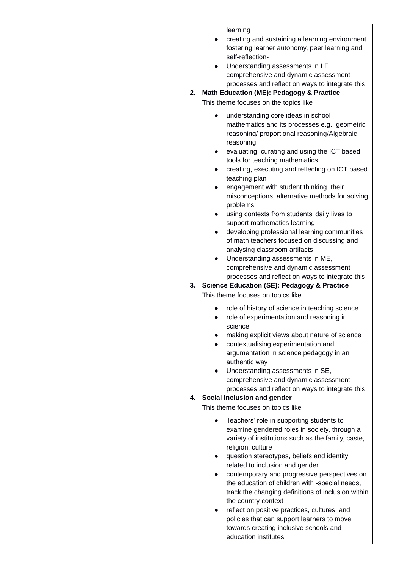learning

- creating and sustaining a learning environment fostering learner autonomy, peer learning and self-reflection-
- Understanding assessments in LE, comprehensive and dynamic assessment processes and reflect on ways to integrate this
- **2. Math Education (ME): Pedagogy & Practice**  This theme focuses on the topics like
	- understanding core ideas in school mathematics and its processes e.g., geometric reasoning/ proportional reasoning/Algebraic reasoning
	- evaluating, curating and using the ICT based tools for teaching mathematics
	- creating, executing and reflecting on ICT based teaching plan
	- engagement with student thinking, their misconceptions, alternative methods for solving problems
	- using contexts from students' daily lives to support mathematics learning
	- developing professional learning communities of math teachers focused on discussing and analysing classroom artifacts
	- Understanding assessments in ME, comprehensive and dynamic assessment processes and reflect on ways to integrate this

# **3. Science Education (SE): Pedagogy & Practice**

This theme focuses on topics like

- role of history of science in teaching science
- role of experimentation and reasoning in science
- making explicit views about nature of science
- contextualising experimentation and argumentation in science pedagogy in an authentic way
- Understanding assessments in SE, comprehensive and dynamic assessment processes and reflect on ways to integrate this

## **4. Social Inclusion and gender**

This theme focuses on topics like

- Teachers' role in supporting students to examine gendered roles in society, through a variety of institutions such as the family, caste, religion, culture
- question stereotypes, beliefs and identity related to inclusion and gender
- contemporary and progressive perspectives on the education of children with -special needs, track the changing definitions of inclusion within the country context
- reflect on positive practices, cultures, and policies that can support learners to move towards creating inclusive schools and education institutes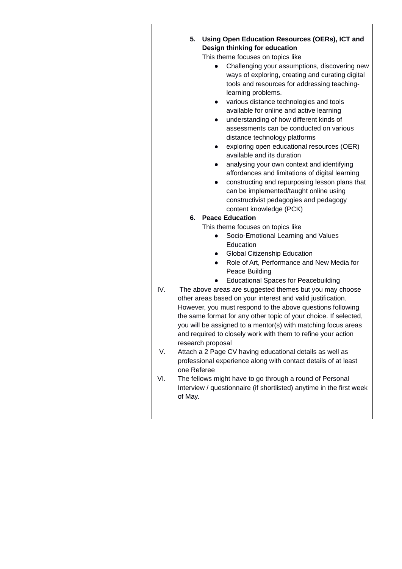| IV.<br>V.<br>one Referee<br>VI.<br>of May. | 5. Using Open Education Resources (OERs), ICT and<br>Design thinking for education<br>This theme focuses on topics like<br>Challenging your assumptions, discovering new<br>$\bullet$<br>ways of exploring, creating and curating digital<br>tools and resources for addressing teaching-<br>learning problems.<br>various distance technologies and tools<br>$\bullet$<br>available for online and active learning<br>understanding of how different kinds of<br>$\bullet$<br>assessments can be conducted on various<br>distance technology platforms<br>exploring open educational resources (OER)<br>$\bullet$<br>available and its duration<br>analysing your own context and identifying<br>$\bullet$<br>affordances and limitations of digital learning<br>constructing and repurposing lesson plans that<br>$\bullet$<br>can be implemented/taught online using<br>constructivist pedagogies and pedagogy<br>content knowledge (PCK)<br>6. Peace Education<br>This theme focuses on topics like<br>Socio-Emotional Learning and Values<br>$\bullet$<br>Education<br><b>Global Citizenship Education</b><br>$\bullet$<br>Role of Art, Performance and New Media for<br>$\bullet$<br>Peace Building<br><b>Educational Spaces for Peacebuilding</b><br>$\bullet$<br>The above areas are suggested themes but you may choose<br>other areas based on your interest and valid justification.<br>However, you must respond to the above questions following<br>the same format for any other topic of your choice. If selected,<br>you will be assigned to a mentor(s) with matching focus areas<br>and required to closely work with them to refine your action<br>research proposal<br>Attach a 2 Page CV having educational details as well as<br>professional experience along with contact details of at least<br>The fellows might have to go through a round of Personal<br>Interview / questionnaire (if shortlisted) anytime in the first week |
|--------------------------------------------|-----------------------------------------------------------------------------------------------------------------------------------------------------------------------------------------------------------------------------------------------------------------------------------------------------------------------------------------------------------------------------------------------------------------------------------------------------------------------------------------------------------------------------------------------------------------------------------------------------------------------------------------------------------------------------------------------------------------------------------------------------------------------------------------------------------------------------------------------------------------------------------------------------------------------------------------------------------------------------------------------------------------------------------------------------------------------------------------------------------------------------------------------------------------------------------------------------------------------------------------------------------------------------------------------------------------------------------------------------------------------------------------------------------------------------------------------------------------------------------------------------------------------------------------------------------------------------------------------------------------------------------------------------------------------------------------------------------------------------------------------------------------------------------------------------------------------------------------------------------------------------------------------------------------------------------------------------------|
|                                            |                                                                                                                                                                                                                                                                                                                                                                                                                                                                                                                                                                                                                                                                                                                                                                                                                                                                                                                                                                                                                                                                                                                                                                                                                                                                                                                                                                                                                                                                                                                                                                                                                                                                                                                                                                                                                                                                                                                                                           |
|                                            |                                                                                                                                                                                                                                                                                                                                                                                                                                                                                                                                                                                                                                                                                                                                                                                                                                                                                                                                                                                                                                                                                                                                                                                                                                                                                                                                                                                                                                                                                                                                                                                                                                                                                                                                                                                                                                                                                                                                                           |

 $\overline{\phantom{a}}$